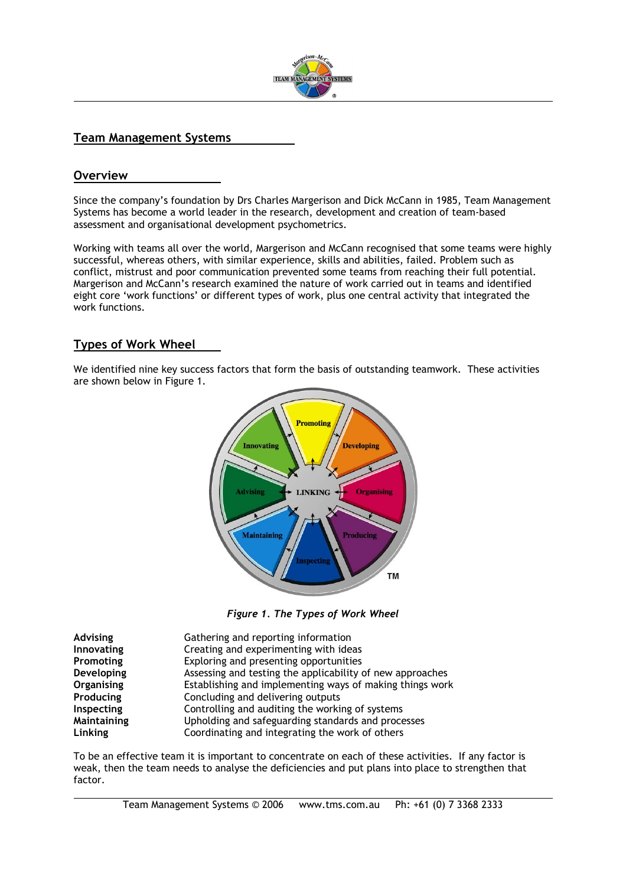

## **Team Management Systems**

#### **Overview**

 $\overline{a}$ 

l

Since the company's foundation by Drs Charles Margerison and Dick McCann in 1985, Team Management Systems has become a world leader in the research, development and creation of team-based assessment and organisational development psychometrics.

Working with teams all over the world, Margerison and McCann recognised that some teams were highly successful, whereas others, with similar experience, skills and abilities, failed. Problem such as conflict, mistrust and poor communication prevented some teams from reaching their full potential. Margerison and McCann's research examined the nature of work carried out in teams and identified eight core 'work functions' or different types of work, plus one central activity that integrated the work functions.

### **Types of Work Wheel**

We identified nine key success factors that form the basis of outstanding teamwork. These activities are shown below in Figure 1.



*Figure 1. The Types of Work Wheel* 

| <b>Advising</b>   | Gathering and reporting information                       |
|-------------------|-----------------------------------------------------------|
| Innovating        | Creating and experimenting with ideas                     |
| Promoting         | Exploring and presenting opportunities                    |
| Developing        | Assessing and testing the applicability of new approaches |
| <b>Organising</b> | Establishing and implementing ways of making things work  |
| Producing         | Concluding and delivering outputs                         |
| Inspecting        | Controlling and auditing the working of systems           |
| Maintaining       | Upholding and safeguarding standards and processes        |
| Linking           | Coordinating and integrating the work of others           |

To be an effective team it is important to concentrate on each of these activities. If any factor is weak, then the team needs to analyse the deficiencies and put plans into place to strengthen that factor.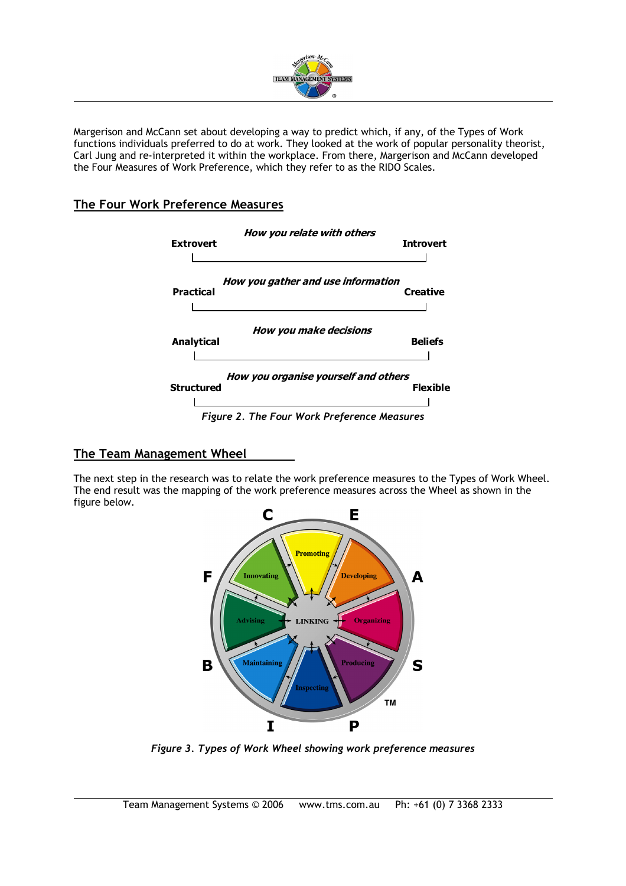

Margerison and McCann set about developing a way to predict which, if any, of the Types of Work functions individuals preferred to do at work. They looked at the work of popular personality theorist, Carl Jung and re-interpreted it within the workplace. From there, Margerison and McCann developed the Four Measures of Work Preference, which they refer to as the RIDO Scales.

# **The Four Work Preference Measures**

 $\overline{a}$ 

l



### **The Team Management Wheel**

The next step in the research was to relate the work preference measures to the Types of Work Wheel. The end result was the mapping of the work preference measures across the Wheel as shown in the figure below.



*Figure 3. Types of Work Wheel showing work preference measures*